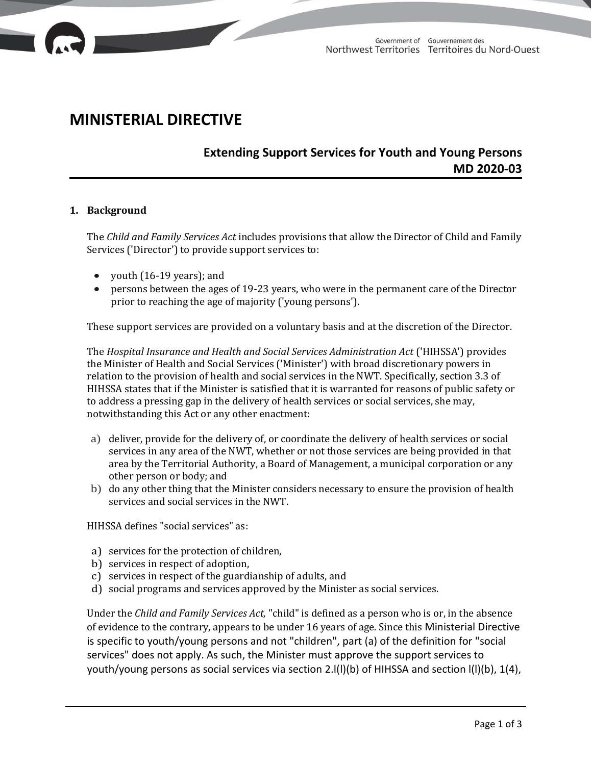

# **MINISTERIAL DIRECTIVE**

## **Extending Support Services for Youth and Young Persons MD 2020-03**

#### **1. Background**

The *Child and Family Services Act* includes provisions that allow the Director of Child and Family Services ('Director') to provide support services to:

- youth (16-19 years); and
- persons between the ages of 19-23 years, who were in the permanent care of the Director prior to reaching the age of majority ('young persons').

These support services are provided on a voluntary basis and at the discretion of the Director.

The *Hospital Insurance and Health and Social Services Administration Act* ('HIHSSA') provides the Minister of Health and Social Services ('Minister') with broad discretionary powers in relation to the provision of health and social services in the NWT. Specifically, section 3.3 of HIHSSA states that if the Minister is satisfied that it is warranted for reasons of public safety or to address a pressing gap in the delivery of health services or social services, she may, notwithstanding this Act or any other enactment:

- a) deliver, provide for the delivery of, or coordinate the delivery of health services or social services in any area of the NWT, whether or not those services are being provided in that area by the Territorial Authority, a Board of Management, a municipal corporation or any other person or body; and
- b) do any other thing that the Minister considers necessary to ensure the provision of health services and social services in the NWT.

HIHSSA defines "social services" as:

- a) services for the protection of children,
- b) services in respect of adoption,
- c) services in respect of the guardianship of adults, and
- d) social programs and services approved by the Minister as social services.

Under the *Child and Family Services Act,* "child" is defined as a person who is or, in the absence of evidence to the contrary, appears to be under 16 years of age. Since this Ministerial Directive is specific to youth/young persons and not "children", part (a) of the definition for "social services" does not apply. As such, the Minister must approve the support services to youth/young persons as social services via section 2.l(l)(b) of HIHSSA and section l(l)(b), 1(4),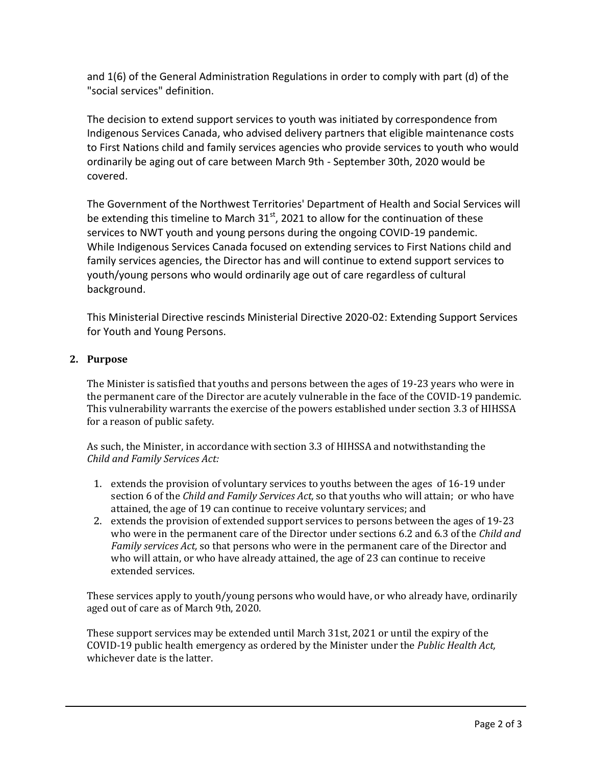and 1(6) of the General Administration Regulations in order to comply with part (d) of the "social services" definition.

The decision to extend support services to youth was initiated by correspondence from Indigenous Services Canada, who advised delivery partners that eligible maintenance costs to First Nations child and family services agencies who provide services to youth who would ordinarily be aging out of care between March 9th - September 30th, 2020 would be covered.

The Government of the Northwest Territories' Department of Health and Social Services will be extending this timeline to March  $31<sup>st</sup>$ , 2021 to allow for the continuation of these services to NWT youth and young persons during the ongoing COVID-19 pandemic. While Indigenous Services Canada focused on extending services to First Nations child and family services agencies, the Director has and will continue to extend support services to youth/young persons who would ordinarily age out of care regardless of cultural background.

This Ministerial Directive rescinds Ministerial Directive 2020-02: Extending Support Services for Youth and Young Persons.

### **2. Purpose**

The Minister is satisfied that youths and persons between the ages of 19-23 years who were in the permanent care of the Director are acutely vulnerable in the face of the COVID-19 pandemic. This vulnerability warrants the exercise of the powers established under section 3.3 of HIHSSA for a reason of public safety.

As such, the Minister, in accordance with section 3.3 of HIHSSA and notwithstanding the *Child and Family Services Act:*

- 1. extends the provision of voluntary services to youths between the ages of 16-19 under section 6 of the *Child and Family Services Act,* so that youths who will attain; or who have attained, the age of 19 can continue to receive voluntary services; and
- 2. extends the provision of extended support services to persons between the ages of 19-23 who were in the permanent care of the Director under sections 6.2 and 6.3 of the *Child and Family services Act,* so that persons who were in the permanent care of the Director and who will attain, or who have already attained, the age of 23 can continue to receive extended services.

These services apply to youth/young persons who would have, or who already have, ordinarily aged out of care as of March 9th, 2020.

These support services may be extended until March 31st, 2021 or until the expiry of the COVID-19 public health emergency as ordered by the Minister under the *Public Health Act,*  whichever date is the latter.